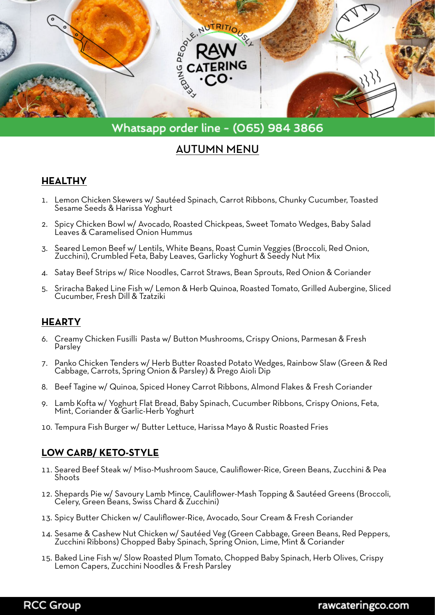

# Whatsapp order line - (065) 984 3866

# AUTUMN MENU

#### **HEALTHY**

- 1. Lemon Chicken Skewers w/ Sautéed Spinach, Carrot Ribbons, Chunky Cucumber, Toasted Sesame Seeds & Harissa Yoghurt
- 2. Spicy Chicken Bowl w/ Avocado, Roasted Chickpeas, Sweet Tomato Wedges, Baby Salad Leaves & Caramelised Onion Hummus
- 3. Seared Lemon Beef w/ Lentils, White Beans, Roast Cumin Veggies (Broccoli, Red Onion, Zucchini), Crumbled Feta, Baby Leaves, Garlicky Yoghurt & Seedy Nut Mix
- 4. Satay Beef Strips w/ Rice Noodles, Carrot Straws, Bean Sprouts, Red Onion & Coriander
- 5. Sriracha Baked Line Fish w/ Lemon & Herb Quinoa, Roasted Tomato, Grilled Aubergine, Sliced Cucumber, Fresh Dill & Tzatziki

#### **HEARTY**

- 6. Creamy Chicken Fusilli Pasta w/ Button Mushrooms, Crispy Onions, Parmesan & Fresh Parsley
- 7. Panko Chicken Tenders w/ Herb Butter Roasted Potato Wedges, Rainbow Slaw (Green & Red Cabbage, Carrots, Spring Onion & Parsley) & Prego Aioli Dip
- 8. Beef Tagine w/ Quinoa, Spiced Honey Carrot Ribbons, Almond Flakes & Fresh Coriander
- 9. Lamb Kofta w/ Yoghurt Flat Bread, Baby Spinach, Cucumber Ribbons, Crispy Onions, Feta, Mint, Coriander & Garlic-Herb Yoghurt
- 10. Tempura Fish Burger w/ Butter Lettuce, Harissa Mayo & Rustic Roasted Fries

### **LOW CARB/ KETO-STYLE**

- 11. Seared Beef Steak w/ Miso-Mushroom Sauce, Cauliflower-Rice, Green Beans, Zucchini & Pea Shoots
- 12. Shepards Pie w/ Savoury Lamb Mince, Cauliflower-Mash Topping & Sautéed Greens (Broccoli, Celery, Green Beans, Swiss Chard & Zucchini)
- 13. Spicy Butter Chicken w/ Cauliflower-Rice, Avocado, Sour Cream & Fresh Coriander
- 14. Sesame & Cashew Nut Chicken w/ Sautéed Veg (Green Cabbage, Green Beans, Red Peppers, Zucchini Ribbons) Chopped Baby Spinach, Spring Onion, Lime, Mint & Coriander
- 15. Baked Line Fish w/ Slow Roasted Plum Tomato, Chopped Baby Spinach, Herb Olives, Crispy Lemon Capers, Zucchini Noodles & Fresh Parsley